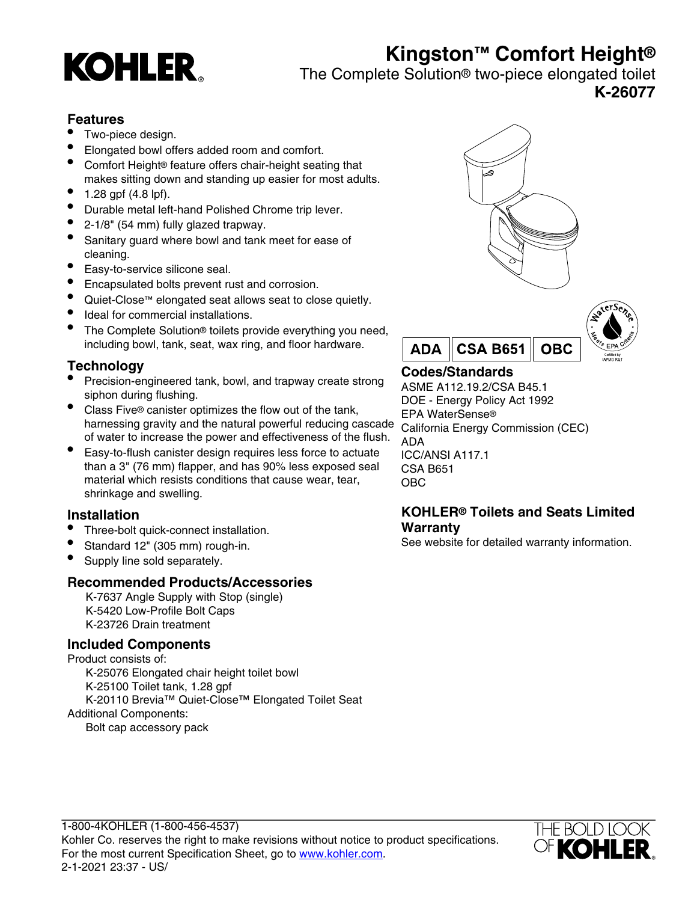# **Kingston™ Comfort Height®**



## The Complete Solution® two-piece elongated toilet **K-26077**

## **Features**

- Two-piece design.
- Elongated bowl offers added room and comfort.
- Comfort Height® feature offers chair-height seating that makes sitting down and standing up easier for most adults.
- $1.28$  gpf (4.8 lpf).
- Durable metal left-hand Polished Chrome trip lever.
- 2-1/8" (54 mm) fully glazed trapway.
- Sanitary guard where bowl and tank meet for ease of cleaning.
- Easy-to-service silicone seal.
- Encapsulated bolts prevent rust and corrosion.
- Quiet-Close™ elongated seat allows seat to close quietly.
- Ideal for commercial installations.
- The Complete Solution® toilets provide everything you need, including bowl, tank, seat, wax ring, and floor hardware.

## **Technology**

- Precision-engineered tank, bowl, and trapway create strong siphon during flushing.
- Class Five® canister optimizes the flow out of the tank, harnessing gravity and the natural powerful reducing cascade of water to increase the power and effectiveness of the flush.
- Easy-to-flush canister design requires less force to actuate than a 3" (76 mm) flapper, and has 90% less exposed seal material which resists conditions that cause wear, tear, shrinkage and swelling.

## **Installation**

- Three-bolt quick-connect installation.
- Standard 12" (305 mm) rough-in.
- Supply line sold separately.

## **Recommended Products/Accessories**

K-7637 Angle Supply with Stop (single) K-5420 Low-Profile Bolt Caps K-23726 Drain treatment

## **Included Components**

Product consists of: K-25076 Elongated chair height toilet bowl K-25100 Toilet tank, 1.28 gpf K-20110 Brevia™ Quiet-Close™ Elongated Toilet Seat Additional Components: Bolt cap accessory pack





## **Codes/Standards**

ASME A112.19.2/CSA B45.1 DOE - Energy Policy Act 1992 EPA WaterSense® California Energy Commission (CEC) ADA ICC/ANSI A117.1 CSA B651 OBC

#### **KOHLER® Toilets and Seats Limited Warranty**

See website for detailed warranty information.